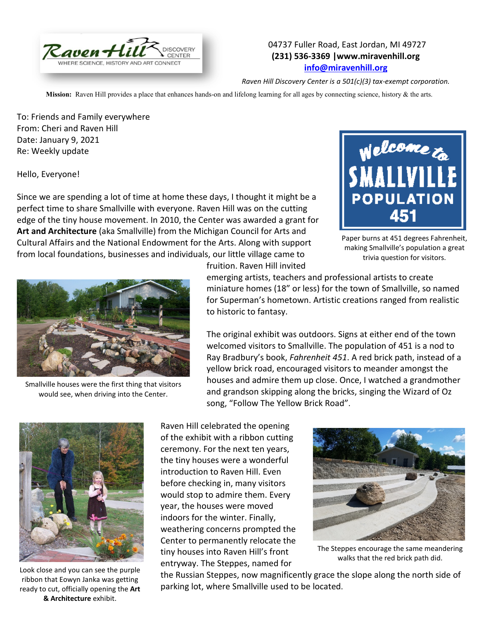

## 04737 Fuller Road, East Jordan, MI 49727 **(231) 536-3369 |www.miravenhill.org [info@miravenhill.org](mailto:info@miravenhill.org)**

*Raven Hill Discovery Center is a 501(c)(3) tax-exempt corporation.*

**Mission:** Raven Hill provides a place that enhances hands-on and lifelong learning for all ages by connecting science, history & the arts.

To: Friends and Family everywhere From: Cheri and Raven Hill Date: January 9, 2021 Re: Weekly update

Hello, Everyone!

Since we are spending a lot of time at home these days, I thought it might be a perfect time to share Smallville with everyone. Raven Hill was on the cutting edge of the tiny house movement. In 2010, the Center was awarded a grant for **Art and Architecture** (aka Smallville) from the Michigan Council for Arts and Cultural Affairs and the National Endowment for the Arts. Along with support from local foundations, businesses and individuals, our little village came to



Paper burns at 451 degrees Fahrenheit, making Smallville's population a great trivia question for visitors.



Smallville houses were the first thing that visitors would see, when driving into the Center.

fruition. Raven Hill invited

emerging artists, teachers and professional artists to create miniature homes (18" or less) for the town of Smallville, so named for Superman's hometown. Artistic creations ranged from realistic to historic to fantasy.

The original exhibit was outdoors. Signs at either end of the town welcomed visitors to Smallville. The population of 451 is a nod to Ray Bradbury's book, *Fahrenheit 451*. A red brick path, instead of a yellow brick road, encouraged visitors to meander amongst the houses and admire them up close. Once, I watched a grandmother and grandson skipping along the bricks, singing the Wizard of Oz song, "Follow The Yellow Brick Road".



Look close and you can see the purple ribbon that Eowyn Janka was getting ready to cut, officially opening the **Art & Architecture** exhibit.

Raven Hill celebrated the opening of the exhibit with a ribbon cutting ceremony. For the next ten years, the tiny houses were a wonderful introduction to Raven Hill. Even before checking in, many visitors would stop to admire them. Every year, the houses were moved indoors for the winter. Finally, weathering concerns prompted the Center to permanently relocate the tiny houses into Raven Hill's front entryway. The Steppes, named for



The Steppes encourage the same meandering walks that the red brick path did.

the Russian Steppes, now magnificently grace the slope along the north side of parking lot, where Smallville used to be located.